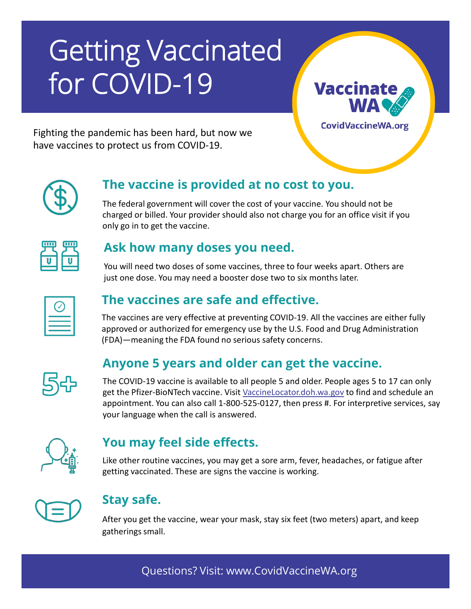# **Getting Vaccinated** for COVID-19

**Vaccinate** 

**CovidVaccineWA.org** 

Fighting the pandemic has been hard, but now we have vaccines to protect us from COVID-19.

# **The vaccine is provided at no cost to you.**

The federal government will cover the cost of your vaccine. You should not be charged or billed. Your provider should also not charge you for an office visit if you only go in to get the vaccine.

| ш<br>ï |
|--------|
|        |
|        |

#### **Ask how many doses you need.**

You will need two doses of some vaccines, three to four weeks apart. Others are just one dose. You may need a booster dose two to six months later.

# **The vaccines are safe and effective.**

The vaccines are very effective at preventing COVID-19. All the vaccines are either fully approved or authorized for emergency use by the U.S. Food and Drug Administration (FDA)—meaning the FDA found no serious safety concerns.



# **Anyone 5 years and older can get the vaccine.**

The COVID-19 vaccine is available to all people 5 and older. People ages 5 to 17 can only get the Pfizer-BioNTech vaccine. Visit [VaccineLocator.doh.wa.gov](https://vaccinelocator.doh.wa.gov/) to find and schedule an appointment. You can also call 1-800-525-0127, then press #. For interpretive services, say your language when the call is answered.



# **You may feel side effects.**

Like other routine vaccines, you may get a sore arm, fever, headaches, or fatigue after getting vaccinated. These are signs the vaccine is working.



#### **Stay safe.**

After you get the vaccine, wear your mask, stay six feet (two meters) apart, and keep gatherings small.